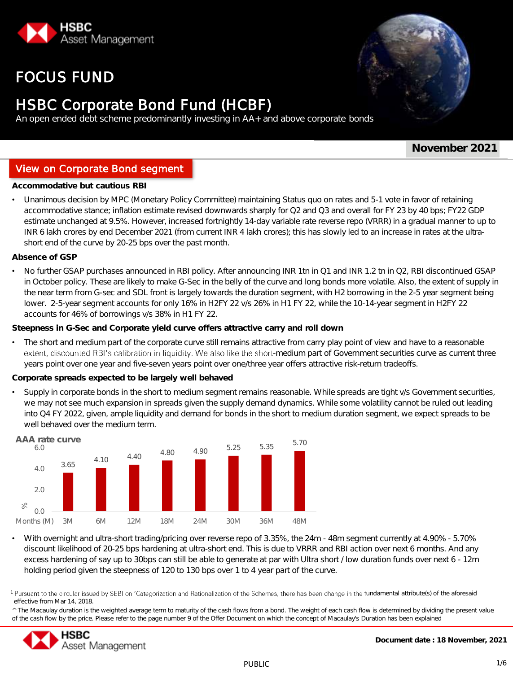

# FOCUS FUND



# HSBC Corporate Bond Fund (HCBF)

An open ended debt scheme predominantly investing in AA+ and above corporate bonds

**November 2021**

## View on Corporate Bond segment

**Investment Objective**<br> **Investigative** but cautious RBI

• Unanimous decision by MPC (Monetary Policy Committee) maintaining Status quo on rates and 5-1 vote in favor of retaining accommodative stance; inflation estimate revised downwards sharply for Q2 and Q3 and overall for FY 23 by 40 bps; FY22 GDP estimate unchanged at 9.5%. However, increased fortnightly 14-day variable rate reverse repo (VRRR) in a gradual manner to up to INR 6 lakh crores by end December 2021 (from current INR 4 lakh crores); this has slowly led to an increase in rates at the ultrashort end of the curve by 20-25 bps over the past month.

**Absence of GSP**

No further GSAP purchases announced in RBI policy. After announcing INR 1tn in Q1 and INR 1.2 tn in Q2, RBI discontinued GSAP in October policy. These are likely to make G-Sec in the belly of the curve and long bonds more volatile. Also, the extent of supply in the near term from G-sec and SDL front is largely towards the duration segment, with H2 borrowing in the 2-5 year segment being lower. 2-5-year segment accounts for only 16% in H2FY 22 v/s 26% in H1 FY 22, while the 10-14-year segment in H2FY 22 accounts for 46% of borrowings v/s 38% in H1 FY 22.

**Steepness in G-Sec and Corporate yield curve offers attractive carry and roll down**

• The short and medium part of the corporate curve still remains attractive from carry play point of view and have to a reasonable extent, discounted RBI's calibration in liquidity. We also like the short-medium part of Government securities curve as current three years point over one year and five-seven years point over one/three year offers attractive risk-return tradeoffs.

**Corporate spreads expected to be largely well behaved**

• Supply in corporate bonds in the short to medium segment remains reasonable. While spreads are tight v/s Government securities, we may not see much expansion in spreads given the supply demand dynamics. While some volatility cannot be ruled out leading into Q4 FY 2022, given, ample liquidity and demand for bonds in the short to medium duration segment, we expect spreads to be well behaved over the medium term.



• With overnight and ultra-short trading/pricing over reverse repo of 3.35%, the 24m - 48m segment currently at 4.90% - 5.70% discount likelihood of 20-25 bps hardening at ultra-short end. This is due to VRRR and RBI action over next 6 months. And any excess hardening of say up to 30bps can still be able to generate at par with Ultra short / low duration funds over next 6 - 12m holding period given the steepness of 120 to 130 bps over 1 to 4 year part of the curve.

1 Pursuant to the circular issued by SEBI on 'Categorization and Rationalization of the Schemes, there has been change in the fundamental attribute(s) of the aforesaid effective from Mar 14, 2018.

^ The Macaulay duration is the weighted average term to maturity of the cash flows from a bond. The weight of each cash flow is determined by dividing the present value of the cash flow by the price. Please refer to the page number 9 of the Offer Document on which the concept of Macaulay's Duration has been explained

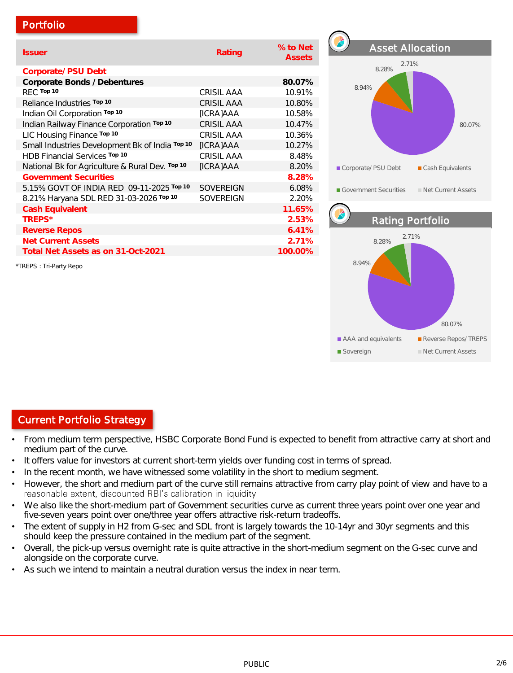## Portfolio

| <i><b>Issuer</b></i>                            | Rating            | % to Net<br><b>Assets</b> |
|-------------------------------------------------|-------------------|---------------------------|
| Corporate/ PSU Debt                             |                   |                           |
| Corporate Bonds / Debentures                    |                   | 80.07%                    |
| RFC Top 10                                      | CRISIL AAA        | 10.91%                    |
| Reliance Industries Top 10                      | <b>CRISIL AAA</b> | 10.80%                    |
| Indian Oil Corporation Top 10                   | [ICRA]AAA         | 10.58%                    |
| Indian Railway Finance Corporation Top 10       | <b>CRISIL AAA</b> | 10.47%                    |
| LIC Housing Finance Top 10                      | <b>CRISIL AAA</b> | 10.36%                    |
| Small Industries Development Bk of India Top 10 | [ICRA]AAA         | 10.27%                    |
| HDB Financial Services Top 10                   | <b>CRISIL AAA</b> | 8.48%                     |
| National Bk for Agriculture & Rural Dev. Top 10 | [ICRA]AAA         | 8.20%                     |
| <b>Government Securities</b>                    |                   | 8.28%                     |
| 5.15% GOVT OF INDIA RED 09-11-2025 Top 10       | <b>SOVEREIGN</b>  | 6.08%                     |
| 8.21% Haryana SDL RED 31-03-2026 Top 10         | <b>SOVERFIGN</b>  | 2.20%                     |
| Cash Equivalent                                 |                   | 11.65%                    |
| TREPS*                                          |                   | 2.53%                     |
| <b>Reverse Repos</b>                            |                   | 6.41%                     |
| <b>Net Current Assets</b>                       |                   | 2.71%                     |
| Total Net Assets as on 31-Oct-2021              |                   | 100.00%                   |

\*TREPS : Tri-Party Repo



# Current Portfolio Strategy

- From medium term perspective, HSBC Corporate Bond Fund is expected to benefit from attractive carry at short and medium part of the curve.
- It offers value for investors at current short-term yields over funding cost in terms of spread.
- In the recent month, we have witnessed some volatility in the short to medium segment.
- However, the short and medium part of the curve still remains attractive from carry play point of view and have to a<br>reasonable extent, discounted RBI's calibration in liquidity
- We also like the short-medium part of Government securities curve as current three years point over one year and five-seven years point over one/three year offers attractive risk-return tradeoffs.
- The extent of supply in H2 from G-sec and SDL front is largely towards the 10-14yr and 30yr segments and this should keep the pressure contained in the medium part of the segment.
- Overall, the pick-up versus overnight rate is quite attractive in the short-medium segment on the G-sec curve and alongside on the corporate curve.
- As such we intend to maintain a neutral duration versus the index in near term.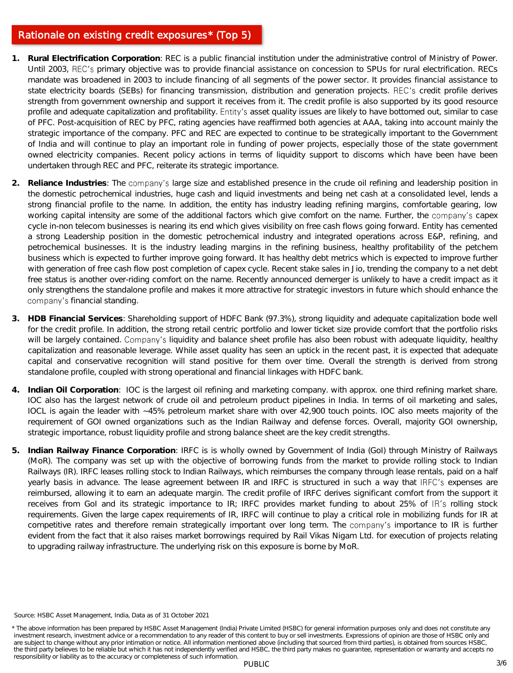### Rationale on existing credit exposures\* (Top 5)

- **1. Rural Electrification Corporation**: REC is a public financial institution under the administrative control of Ministry of Power. Until 2003, REC's primary objective was to provide financial assistance on concession to SPUs for rural electrification. RECs mandate was broadened in 2003 to include financing of all segments of the power sector. It provides financial assistance to state electricity boards (SEBs) for financing transmission, distribution and generation projects. REC's credit profile derives strength from government ownership and support it receives from it. The credit profile is also supported by its good resource profile and adequate capitalization and profitability. Entity's asset quality issues are likely to have bottomed out, similar to case of PFC. Post-acquisition of REC by PFC, rating agencies have reaffirmed both agencies at AAA, taking into account mainly the strategic importance of the company. PFC and REC are expected to continue to be strategically important to the Government of India and will continue to play an important role in funding of power projects, especially those of the state government owned electricity companies. Recent policy actions in terms of liquidity support to discoms which have been have been undertaken through REC and PFC, reiterate its strategic importance.
- 2. Reliance Industries: The company's large size and established presence in the crude oil refining and leadership position in the domestic petrochemical industries, huge cash and liquid investments and being net cash at a consolidated level, lends a strong financial profile to the name. In addition, the entity has industry leading refining margins, comfortable gearing, low working capital intensity are some of the additional factors which give comfort on the name. Further, the company's capex cycle in-non telecom businesses is nearing its end which gives visibility on free cash flows going forward. Entity has cemented a strong Leadership position in the domestic petrochemical industry and integrated operations across E&P, refining, and petrochemical businesses. It is the industry leading margins in the refining business, healthy profitability of the petchem business which is expected to further improve going forward. It has healthy debt metrics which is expected to improve further with generation of free cash flow post completion of capex cycle. Recent stake sales in Jio, trending the company to a net debt free status is another over-riding comfort on the name. Recently announced demerger is unlikely to have a credit impact as it only strengthens the standalone profile and makes it more attractive for strategic investors in future which should enhance the company's financial standing.
- **3. HDB Financial Services**: Shareholding support of HDFC Bank (97.3%), strong liquidity and adequate capitalization bode well for the credit profile. In addition, the strong retail centric portfolio and lower ticket size provide comfort that the portfolio risks will be largely contained. Company's liquidity and balance sheet profile has also been robust with adequate liquidity, healthy capitalization and reasonable leverage. While asset quality has seen an uptick in the recent past, it is expected that adequate capital and conservative recognition will stand positive for them over time. Overall the strength is derived from strong standalone profile, coupled with strong operational and financial linkages with HDFC bank.
- **4. Indian Oil Corporation**: IOC is the largest oil refining and marketing company. with approx. one third refining market share. IOC also has the largest network of crude oil and petroleum product pipelines in India. In terms of oil marketing and sales, IOCL is again the leader with ~45% petroleum market share with over 42,900 touch points. IOC also meets majority of the requirement of GOI owned organizations such as the Indian Railway and defense forces. Overall, majority GOI ownership, strategic importance, robust liquidity profile and strong balance sheet are the key credit strengths.
- **5. Indian Railway Finance Corporation**: IRFC is is wholly owned by Government of India (GoI) through Ministry of Railways (MoR). The company was set up with the objective of borrowing funds from the market to provide rolling stock to Indian Railways (IR). IRFC leases rolling stock to Indian Railways, which reimburses the company through lease rentals, paid on a half yearly basis in advance. The lease agreement between IR and IRFC is structured in such a way that IRFC's expenses are reimbursed, allowing it to earn an adequate margin. The credit profile of IRFC derives significant comfort from the support it receives from GoI and its strategic importance to IR; IRFC provides market funding to about 25% of IR's rolling stock requirements. Given the large capex requirements of IR, IRFC will continue to play a critical role in mobilizing funds for IR at competitive rates and therefore remain strategically important over long term. The company's importance to IR is further evident from the fact that it also raises market borrowings required by Rail Vikas Nigam Ltd. for execution of projects relating to upgrading railway infrastructure. The underlying risk on this exposure is borne by MoR.

Source: HSBC Asset Management, India, Data as of 31 October 2021

<sup>\*</sup> The above information has been prepared by HSBC Asset Management (India) Private Limited (HSBC) for general information purposes only and does not constitute any investment research, investment advice or a recommendation to any reader of this content to buy or sell investments. Expressions of opinion are those of HSBC only and are subject to change without any prior intimation or notice. All information mentioned above (including that sourced from third parties), is obtained from sources HSBC, the third party believes to be reliable but which it has not independently verified and HSBC, the third party makes no guarantee, representation or warranty and accepts no responsibility or liability as to the accuracy or completeness of such information.